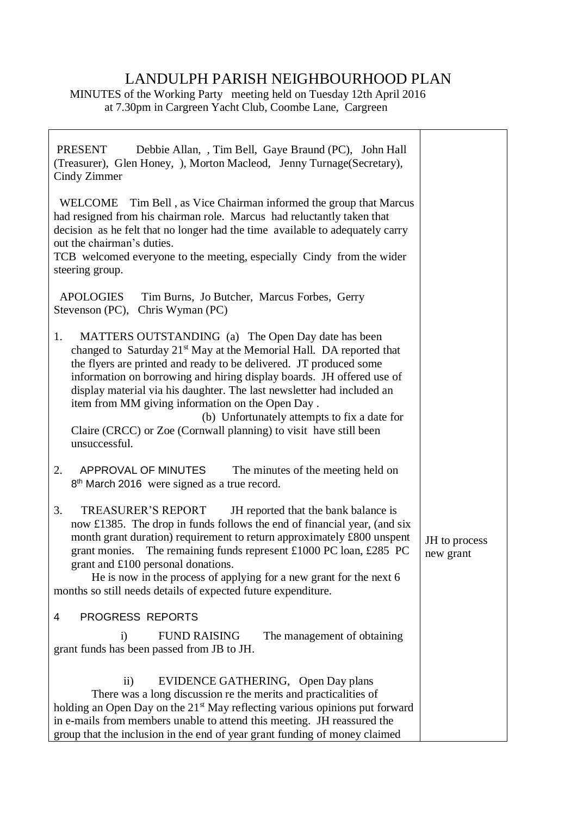## LANDULPH PARISH NEIGHBOURHOOD PLAN

MINUTES of the Working Party meeting held on Tuesday 12th April 2016 at 7.30pm in Cargreen Yacht Club, Coombe Lane, Cargreen

| <b>PRESENT</b><br>Debbie Allan, , Tim Bell, Gaye Braund (PC), John Hall<br>(Treasurer), Glen Honey, ), Morton Macleod, Jenny Turnage(Secretary),<br>Cindy Zimmer                                                                                                                                                                                                                                                                                                                                                                                               |                            |
|----------------------------------------------------------------------------------------------------------------------------------------------------------------------------------------------------------------------------------------------------------------------------------------------------------------------------------------------------------------------------------------------------------------------------------------------------------------------------------------------------------------------------------------------------------------|----------------------------|
| WELCOME Tim Bell, as Vice Chairman informed the group that Marcus<br>had resigned from his chairman role. Marcus had reluctantly taken that<br>decision as he felt that no longer had the time available to adequately carry<br>out the chairman's duties.<br>TCB welcomed everyone to the meeting, especially Cindy from the wider<br>steering group.                                                                                                                                                                                                         |                            |
| <b>APOLOGIES</b><br>Tim Burns, Jo Butcher, Marcus Forbes, Gerry<br>Chris Wyman (PC)<br>Stevenson (PC),                                                                                                                                                                                                                                                                                                                                                                                                                                                         |                            |
| MATTERS OUTSTANDING (a) The Open Day date has been<br>1.<br>changed to Saturday 21 <sup>st</sup> May at the Memorial Hall. DA reported that<br>the flyers are printed and ready to be delivered. JT produced some<br>information on borrowing and hiring display boards. JH offered use of<br>display material via his daughter. The last newsletter had included an<br>item from MM giving information on the Open Day.<br>(b) Unfortunately attempts to fix a date for<br>Claire (CRCC) or Zoe (Cornwall planning) to visit have still been<br>unsuccessful. |                            |
| APPROVAL OF MINUTES<br>2.<br>The minutes of the meeting held on<br>8 <sup>th</sup> March 2016 were signed as a true record.                                                                                                                                                                                                                                                                                                                                                                                                                                    |                            |
| 3.<br><b>TREASURER'S REPORT</b><br>JH reported that the bank balance is<br>now £1385. The drop in funds follows the end of financial year, (and six<br>month grant duration) requirement to return approximately £800 unspent<br>grant monies. The remaining funds represent £1000 PC loan, £285 PC<br>grant and £100 personal donations.<br>He is now in the process of applying for a new grant for the next 6<br>months so still needs details of expected future expenditure.                                                                              | JH to process<br>new grant |
| PROGRESS REPORTS<br>4                                                                                                                                                                                                                                                                                                                                                                                                                                                                                                                                          |                            |
| <b>FUND RAISING</b><br>The management of obtaining<br>1)<br>grant funds has been passed from JB to JH.                                                                                                                                                                                                                                                                                                                                                                                                                                                         |                            |
| EVIDENCE GATHERING, Open Day plans<br>$\rm ii)$<br>There was a long discussion re the merits and practicalities of<br>holding an Open Day on the 21 <sup>st</sup> May reflecting various opinions put forward<br>in e-mails from members unable to attend this meeting. JH reassured the<br>group that the inclusion in the end of year grant funding of money claimed                                                                                                                                                                                         |                            |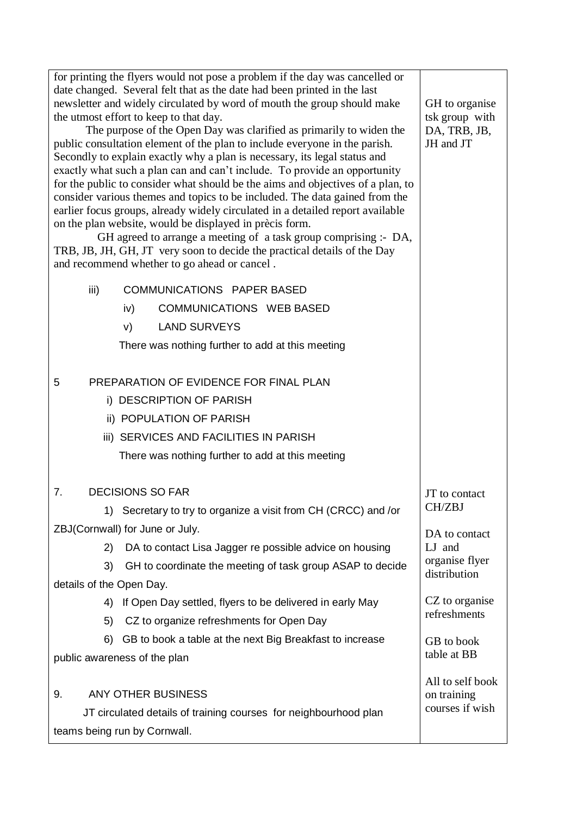| for printing the flyers would not pose a problem if the day was cancelled or<br>date changed. Several felt that as the date had been printed in the last<br>newsletter and widely circulated by word of mouth the group should make<br>the utmost effort to keep to that day.<br>The purpose of the Open Day was clarified as primarily to widen the<br>public consultation element of the plan to include everyone in the parish.<br>Secondly to explain exactly why a plan is necessary, its legal status and<br>exactly what such a plan can and can't include. To provide an opportunity<br>for the public to consider what should be the aims and objectives of a plan, to<br>consider various themes and topics to be included. The data gained from the<br>earlier focus groups, already widely circulated in a detailed report available<br>on the plan website, would be displayed in prècis form.<br>GH agreed to arrange a meeting of a task group comprising :- DA,<br>TRB, JB, JH, GH, JT very soon to decide the practical details of the Day<br>and recommend whether to go ahead or cancel. | GH to organise<br>tsk group with<br>DA, TRB, JB,<br>JH and JT |
|-------------------------------------------------------------------------------------------------------------------------------------------------------------------------------------------------------------------------------------------------------------------------------------------------------------------------------------------------------------------------------------------------------------------------------------------------------------------------------------------------------------------------------------------------------------------------------------------------------------------------------------------------------------------------------------------------------------------------------------------------------------------------------------------------------------------------------------------------------------------------------------------------------------------------------------------------------------------------------------------------------------------------------------------------------------------------------------------------------------|---------------------------------------------------------------|
| <b>COMMUNICATIONS PAPER BASED</b><br>iii)                                                                                                                                                                                                                                                                                                                                                                                                                                                                                                                                                                                                                                                                                                                                                                                                                                                                                                                                                                                                                                                                   |                                                               |
| <b>COMMUNICATIONS WEB BASED</b><br>iv)                                                                                                                                                                                                                                                                                                                                                                                                                                                                                                                                                                                                                                                                                                                                                                                                                                                                                                                                                                                                                                                                      |                                                               |
| <b>LAND SURVEYS</b><br>V)                                                                                                                                                                                                                                                                                                                                                                                                                                                                                                                                                                                                                                                                                                                                                                                                                                                                                                                                                                                                                                                                                   |                                                               |
| There was nothing further to add at this meeting                                                                                                                                                                                                                                                                                                                                                                                                                                                                                                                                                                                                                                                                                                                                                                                                                                                                                                                                                                                                                                                            |                                                               |
| PREPARATION OF EVIDENCE FOR FINAL PLAN<br>5                                                                                                                                                                                                                                                                                                                                                                                                                                                                                                                                                                                                                                                                                                                                                                                                                                                                                                                                                                                                                                                                 |                                                               |
| i) DESCRIPTION OF PARISH                                                                                                                                                                                                                                                                                                                                                                                                                                                                                                                                                                                                                                                                                                                                                                                                                                                                                                                                                                                                                                                                                    |                                                               |
| ii) POPULATION OF PARISH                                                                                                                                                                                                                                                                                                                                                                                                                                                                                                                                                                                                                                                                                                                                                                                                                                                                                                                                                                                                                                                                                    |                                                               |
| iii) SERVICES AND FACILITIES IN PARISH                                                                                                                                                                                                                                                                                                                                                                                                                                                                                                                                                                                                                                                                                                                                                                                                                                                                                                                                                                                                                                                                      |                                                               |
| There was nothing further to add at this meeting                                                                                                                                                                                                                                                                                                                                                                                                                                                                                                                                                                                                                                                                                                                                                                                                                                                                                                                                                                                                                                                            |                                                               |
| <b>DECISIONS SO FAR</b><br>7.                                                                                                                                                                                                                                                                                                                                                                                                                                                                                                                                                                                                                                                                                                                                                                                                                                                                                                                                                                                                                                                                               | JT to contact                                                 |
| 1) Secretary to try to organize a visit from CH (CRCC) and /or                                                                                                                                                                                                                                                                                                                                                                                                                                                                                                                                                                                                                                                                                                                                                                                                                                                                                                                                                                                                                                              | CH/ZBJ                                                        |
| ZBJ(Cornwall) for June or July.                                                                                                                                                                                                                                                                                                                                                                                                                                                                                                                                                                                                                                                                                                                                                                                                                                                                                                                                                                                                                                                                             | DA to contact                                                 |
| DA to contact Lisa Jagger re possible advice on housing<br>2)                                                                                                                                                                                                                                                                                                                                                                                                                                                                                                                                                                                                                                                                                                                                                                                                                                                                                                                                                                                                                                               | LJ and                                                        |
| 3)<br>GH to coordinate the meeting of task group ASAP to decide                                                                                                                                                                                                                                                                                                                                                                                                                                                                                                                                                                                                                                                                                                                                                                                                                                                                                                                                                                                                                                             | organise flyer<br>distribution                                |
| details of the Open Day.                                                                                                                                                                                                                                                                                                                                                                                                                                                                                                                                                                                                                                                                                                                                                                                                                                                                                                                                                                                                                                                                                    |                                                               |
| If Open Day settled, flyers to be delivered in early May<br>4)                                                                                                                                                                                                                                                                                                                                                                                                                                                                                                                                                                                                                                                                                                                                                                                                                                                                                                                                                                                                                                              | CZ to organise                                                |
| CZ to organize refreshments for Open Day<br>5)                                                                                                                                                                                                                                                                                                                                                                                                                                                                                                                                                                                                                                                                                                                                                                                                                                                                                                                                                                                                                                                              | refreshments                                                  |
| 6)<br>GB to book a table at the next Big Breakfast to increase                                                                                                                                                                                                                                                                                                                                                                                                                                                                                                                                                                                                                                                                                                                                                                                                                                                                                                                                                                                                                                              | GB to book                                                    |
| public awareness of the plan                                                                                                                                                                                                                                                                                                                                                                                                                                                                                                                                                                                                                                                                                                                                                                                                                                                                                                                                                                                                                                                                                | table at BB                                                   |
| ANY OTHER BUSINESS<br>9.<br>JT circulated details of training courses for neighbourhood plan<br>teams being run by Cornwall.                                                                                                                                                                                                                                                                                                                                                                                                                                                                                                                                                                                                                                                                                                                                                                                                                                                                                                                                                                                | All to self book<br>on training<br>courses if wish            |